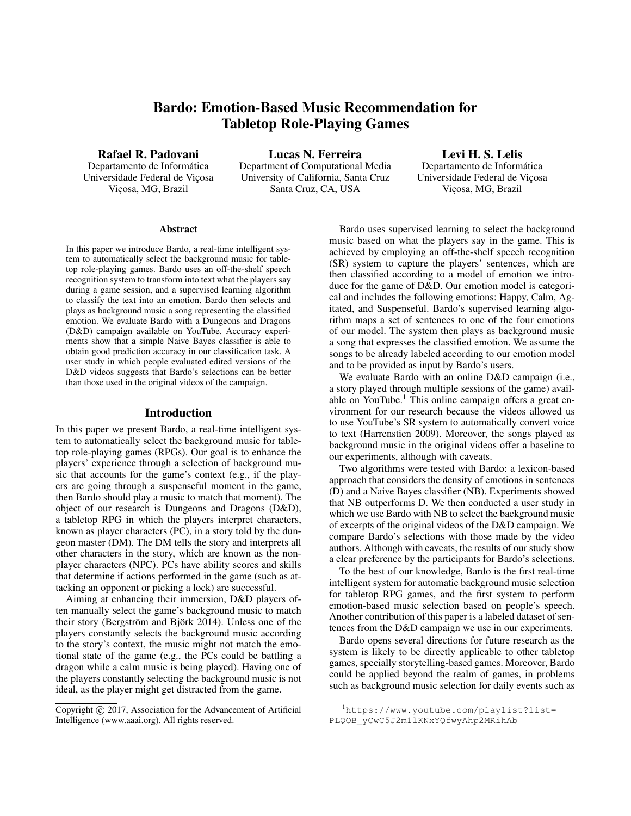# Bardo: Emotion-Based Music Recommendation for Tabletop Role-Playing Games

Rafael R. Padovani

Departamento de Informática Universidade Federal de Viçosa Viçosa, MG, Brazil

Lucas N. Ferreira Department of Computational Media University of California, Santa Cruz Santa Cruz, CA, USA

Levi H. S. Lelis Departamento de Informática Universidade Federal de Viçosa Viçosa, MG, Brazil

#### Abstract

In this paper we introduce Bardo, a real-time intelligent system to automatically select the background music for tabletop role-playing games. Bardo uses an off-the-shelf speech recognition system to transform into text what the players say during a game session, and a supervised learning algorithm to classify the text into an emotion. Bardo then selects and plays as background music a song representing the classified emotion. We evaluate Bardo with a Dungeons and Dragons (D&D) campaign available on YouTube. Accuracy experiments show that a simple Naive Bayes classifier is able to obtain good prediction accuracy in our classification task. A user study in which people evaluated edited versions of the D&D videos suggests that Bardo's selections can be better than those used in the original videos of the campaign.

# Introduction

In this paper we present Bardo, a real-time intelligent system to automatically select the background music for tabletop role-playing games (RPGs). Our goal is to enhance the players' experience through a selection of background music that accounts for the game's context (e.g., if the players are going through a suspenseful moment in the game, then Bardo should play a music to match that moment). The object of our research is Dungeons and Dragons (D&D), a tabletop RPG in which the players interpret characters, known as player characters (PC), in a story told by the dungeon master (DM). The DM tells the story and interprets all other characters in the story, which are known as the nonplayer characters (NPC). PCs have ability scores and skills that determine if actions performed in the game (such as attacking an opponent or picking a lock) are successful.

Aiming at enhancing their immersion, D&D players often manually select the game's background music to match their story (Bergström and Björk 2014). Unless one of the players constantly selects the background music according to the story's context, the music might not match the emotional state of the game (e.g., the PCs could be battling a dragon while a calm music is being played). Having one of the players constantly selecting the background music is not ideal, as the player might get distracted from the game.

Bardo uses supervised learning to select the background music based on what the players say in the game. This is achieved by employing an off-the-shelf speech recognition (SR) system to capture the players' sentences, which are then classified according to a model of emotion we introduce for the game of D&D. Our emotion model is categorical and includes the following emotions: Happy, Calm, Agitated, and Suspenseful. Bardo's supervised learning algorithm maps a set of sentences to one of the four emotions of our model. The system then plays as background music a song that expresses the classified emotion. We assume the songs to be already labeled according to our emotion model and to be provided as input by Bardo's users.

We evaluate Bardo with an online D&D campaign (i.e., a story played through multiple sessions of the game) available on YouTube.<sup>1</sup> This online campaign offers a great environment for our research because the videos allowed us to use YouTube's SR system to automatically convert voice to text (Harrenstien 2009). Moreover, the songs played as background music in the original videos offer a baseline to our experiments, although with caveats.

Two algorithms were tested with Bardo: a lexicon-based approach that considers the density of emotions in sentences (D) and a Naive Bayes classifier (NB). Experiments showed that NB outperforms D. We then conducted a user study in which we use Bardo with NB to select the background music of excerpts of the original videos of the D&D campaign. We compare Bardo's selections with those made by the video authors. Although with caveats, the results of our study show a clear preference by the participants for Bardo's selections.

To the best of our knowledge, Bardo is the first real-time intelligent system for automatic background music selection for tabletop RPG games, and the first system to perform emotion-based music selection based on people's speech. Another contribution of this paper is a labeled dataset of sentences from the D&D campaign we use in our experiments.

Bardo opens several directions for future research as the system is likely to be directly applicable to other tabletop games, specially storytelling-based games. Moreover, Bardo could be applied beyond the realm of games, in problems such as background music selection for daily events such as

Copyright  $\odot$  2017, Association for the Advancement of Artificial Intelligence (www.aaai.org). All rights reserved.

<sup>1</sup>https://www.youtube.com/playlist?list= PLQOB\_yCwC5J2m1lKNxYQfwyAhp2MRihAb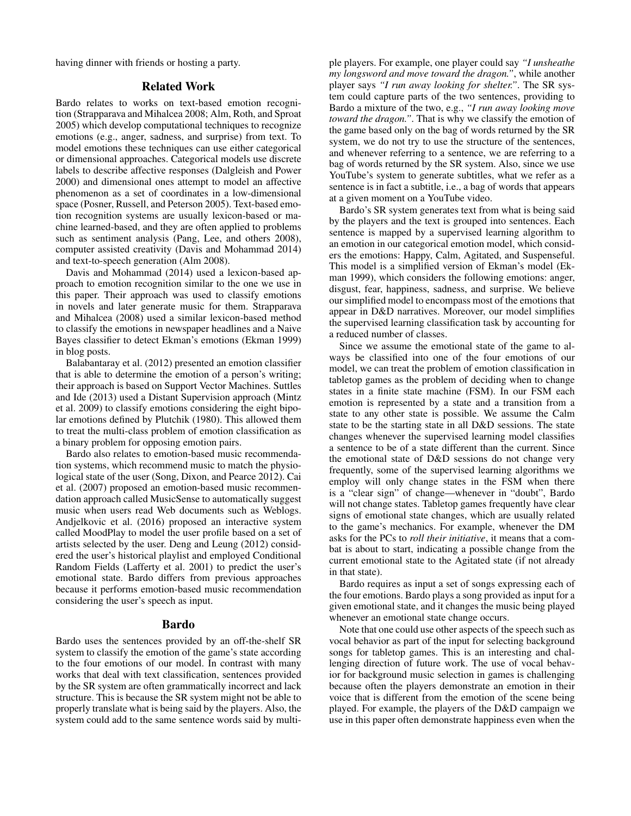having dinner with friends or hosting a party.

# Related Work

Bardo relates to works on text-based emotion recognition (Strapparava and Mihalcea 2008; Alm, Roth, and Sproat 2005) which develop computational techniques to recognize emotions (e.g., anger, sadness, and surprise) from text. To model emotions these techniques can use either categorical or dimensional approaches. Categorical models use discrete labels to describe affective responses (Dalgleish and Power 2000) and dimensional ones attempt to model an affective phenomenon as a set of coordinates in a low-dimensional space (Posner, Russell, and Peterson 2005). Text-based emotion recognition systems are usually lexicon-based or machine learned-based, and they are often applied to problems such as sentiment analysis (Pang, Lee, and others 2008), computer assisted creativity (Davis and Mohammad 2014) and text-to-speech generation (Alm 2008).

Davis and Mohammad (2014) used a lexicon-based approach to emotion recognition similar to the one we use in this paper. Their approach was used to classify emotions in novels and later generate music for them. Strapparava and Mihalcea (2008) used a similar lexicon-based method to classify the emotions in newspaper headlines and a Naive Bayes classifier to detect Ekman's emotions (Ekman 1999) in blog posts.

Balabantaray et al. (2012) presented an emotion classifier that is able to determine the emotion of a person's writing; their approach is based on Support Vector Machines. Suttles and Ide (2013) used a Distant Supervision approach (Mintz et al. 2009) to classify emotions considering the eight bipolar emotions defined by Plutchik (1980). This allowed them to treat the multi-class problem of emotion classification as a binary problem for opposing emotion pairs.

Bardo also relates to emotion-based music recommendation systems, which recommend music to match the physiological state of the user (Song, Dixon, and Pearce 2012). Cai et al. (2007) proposed an emotion-based music recommendation approach called MusicSense to automatically suggest music when users read Web documents such as Weblogs. Andjelkovic et al. (2016) proposed an interactive system called MoodPlay to model the user profile based on a set of artists selected by the user. Deng and Leung (2012) considered the user's historical playlist and employed Conditional Random Fields (Lafferty et al. 2001) to predict the user's emotional state. Bardo differs from previous approaches because it performs emotion-based music recommendation considering the user's speech as input.

#### Bardo

Bardo uses the sentences provided by an off-the-shelf SR system to classify the emotion of the game's state according to the four emotions of our model. In contrast with many works that deal with text classification, sentences provided by the SR system are often grammatically incorrect and lack structure. This is because the SR system might not be able to properly translate what is being said by the players. Also, the system could add to the same sentence words said by multiple players. For example, one player could say *"I unsheathe my longsword and move toward the dragon."*, while another player says *"I run away looking for shelter."*. The SR system could capture parts of the two sentences, providing to Bardo a mixture of the two, e.g., *"I run away looking move toward the dragon."*. That is why we classify the emotion of the game based only on the bag of words returned by the SR system, we do not try to use the structure of the sentences, and whenever referring to a sentence, we are referring to a bag of words returned by the SR system. Also, since we use YouTube's system to generate subtitles, what we refer as a sentence is in fact a subtitle, i.e., a bag of words that appears at a given moment on a YouTube video.

Bardo's SR system generates text from what is being said by the players and the text is grouped into sentences. Each sentence is mapped by a supervised learning algorithm to an emotion in our categorical emotion model, which considers the emotions: Happy, Calm, Agitated, and Suspenseful. This model is a simplified version of Ekman's model (Ekman 1999), which considers the following emotions: anger, disgust, fear, happiness, sadness, and surprise. We believe our simplified model to encompass most of the emotions that appear in D&D narratives. Moreover, our model simplifies the supervised learning classification task by accounting for a reduced number of classes.

Since we assume the emotional state of the game to always be classified into one of the four emotions of our model, we can treat the problem of emotion classification in tabletop games as the problem of deciding when to change states in a finite state machine (FSM). In our FSM each emotion is represented by a state and a transition from a state to any other state is possible. We assume the Calm state to be the starting state in all D&D sessions. The state changes whenever the supervised learning model classifies a sentence to be of a state different than the current. Since the emotional state of D&D sessions do not change very frequently, some of the supervised learning algorithms we employ will only change states in the FSM when there is a "clear sign" of change—whenever in "doubt", Bardo will not change states. Tabletop games frequently have clear signs of emotional state changes, which are usually related to the game's mechanics. For example, whenever the DM asks for the PCs to *roll their initiative*, it means that a combat is about to start, indicating a possible change from the current emotional state to the Agitated state (if not already in that state).

Bardo requires as input a set of songs expressing each of the four emotions. Bardo plays a song provided as input for a given emotional state, and it changes the music being played whenever an emotional state change occurs.

Note that one could use other aspects of the speech such as vocal behavior as part of the input for selecting background songs for tabletop games. This is an interesting and challenging direction of future work. The use of vocal behavior for background music selection in games is challenging because often the players demonstrate an emotion in their voice that is different from the emotion of the scene being played. For example, the players of the D&D campaign we use in this paper often demonstrate happiness even when the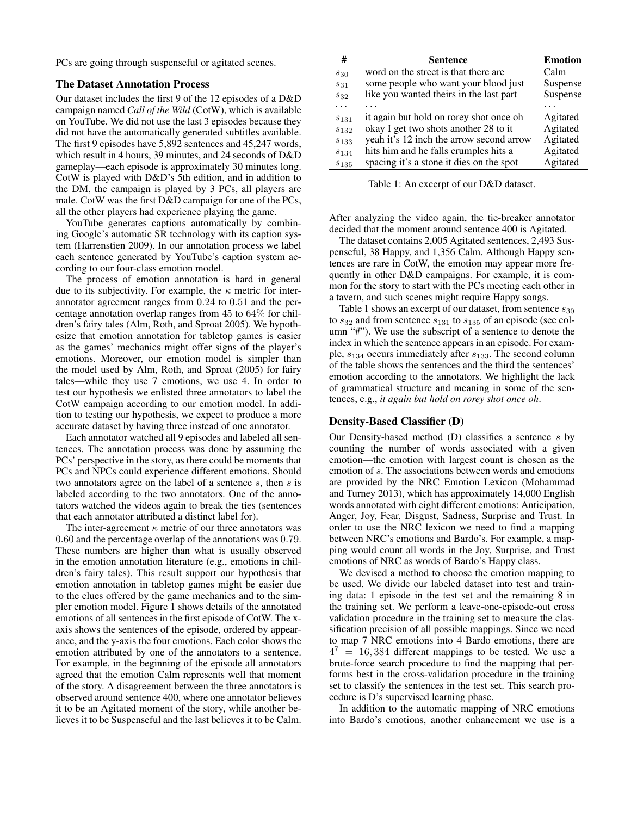PCs are going through suspenseful or agitated scenes.

# The Dataset Annotation Process

Our dataset includes the first 9 of the 12 episodes of a D&D campaign named *Call of the Wild* (CotW), which is available on YouTube. We did not use the last 3 episodes because they did not have the automatically generated subtitles available. The first 9 episodes have 5,892 sentences and 45,247 words, which result in 4 hours, 39 minutes, and 24 seconds of D&D gameplay—each episode is approximately 30 minutes long. CotW is played with D&D's 5th edition, and in addition to the DM, the campaign is played by 3 PCs, all players are male. CotW was the first D&D campaign for one of the PCs, all the other players had experience playing the game.

YouTube generates captions automatically by combining Google's automatic SR technology with its caption system (Harrenstien 2009). In our annotation process we label each sentence generated by YouTube's caption system according to our four-class emotion model.

The process of emotion annotation is hard in general due to its subjectivity. For example, the  $\kappa$  metric for interannotator agreement ranges from 0.24 to 0.51 and the percentage annotation overlap ranges from 45 to 64% for children's fairy tales (Alm, Roth, and Sproat 2005). We hypothesize that emotion annotation for tabletop games is easier as the games' mechanics might offer signs of the player's emotions. Moreover, our emotion model is simpler than the model used by Alm, Roth, and Sproat (2005) for fairy tales—while they use 7 emotions, we use 4. In order to test our hypothesis we enlisted three annotators to label the CotW campaign according to our emotion model. In addition to testing our hypothesis, we expect to produce a more accurate dataset by having three instead of one annotator.

Each annotator watched all 9 episodes and labeled all sentences. The annotation process was done by assuming the PCs' perspective in the story, as there could be moments that PCs and NPCs could experience different emotions. Should two annotators agree on the label of a sentence s, then s is labeled according to the two annotators. One of the annotators watched the videos again to break the ties (sentences that each annotator attributed a distinct label for).

The inter-agreement  $\kappa$  metric of our three annotators was 0.60 and the percentage overlap of the annotations was 0.79. These numbers are higher than what is usually observed in the emotion annotation literature (e.g., emotions in children's fairy tales). This result support our hypothesis that emotion annotation in tabletop games might be easier due to the clues offered by the game mechanics and to the simpler emotion model. Figure 1 shows details of the annotated emotions of all sentences in the first episode of CotW. The xaxis shows the sentences of the episode, ordered by appearance, and the y-axis the four emotions. Each color shows the emotion attributed by one of the annotators to a sentence. For example, in the beginning of the episode all annotators agreed that the emotion Calm represents well that moment of the story. A disagreement between the three annotators is observed around sentence 400, where one annotator believes it to be an Agitated moment of the story, while another believes it to be Suspenseful and the last believes it to be Calm.

| #           | <b>Sentence</b>                          | <b>Emotion</b> |
|-------------|------------------------------------------|----------------|
| $s_{30}$    | word on the street is that there are     | Calm           |
| $S_{31}$    | some people who want your blood just     | Suspense       |
| $S_{32}$    | like you wanted theirs in the last part  | Suspense       |
|             |                                          |                |
| $S_{1,31}$  | it again but hold on rorey shot once oh  | Agitated       |
| $S_{132}$   | okay I get two shots another 28 to it    | Agitated       |
| $S_{1,3,3}$ | yeah it's 12 inch the arrow second arrow | Agitated       |
| $s_{134}$   | hits him and he falls crumples hits a    | Agitated       |
| $S_{135}$   | spacing it's a stone it dies on the spot | Agitated       |

Table 1: An excerpt of our D&D dataset.

After analyzing the video again, the tie-breaker annotator decided that the moment around sentence 400 is Agitated.

The dataset contains 2,005 Agitated sentences, 2,493 Suspenseful, 38 Happy, and 1,356 Calm. Although Happy sentences are rare in CotW, the emotion may appear more frequently in other D&D campaigns. For example, it is common for the story to start with the PCs meeting each other in a tavern, and such scenes might require Happy songs.

Table 1 shows an excerpt of our dataset, from sentence  $s_{30}$ to  $s_{32}$  and from sentence  $s_{131}$  to  $s_{135}$  of an episode (see column "#"). We use the subscript of a sentence to denote the index in which the sentence appears in an episode. For example,  $s_{134}$  occurs immediately after  $s_{133}$ . The second column of the table shows the sentences and the third the sentences' emotion according to the annotators. We highlight the lack of grammatical structure and meaning in some of the sentences, e.g., *it again but hold on rorey shot once oh*.

#### Density-Based Classifier (D)

Our Density-based method (D) classifies a sentence s by counting the number of words associated with a given emotion—the emotion with largest count is chosen as the emotion of s. The associations between words and emotions are provided by the NRC Emotion Lexicon (Mohammad and Turney 2013), which has approximately 14,000 English words annotated with eight different emotions: Anticipation, Anger, Joy, Fear, Disgust, Sadness, Surprise and Trust. In order to use the NRC lexicon we need to find a mapping between NRC's emotions and Bardo's. For example, a mapping would count all words in the Joy, Surprise, and Trust emotions of NRC as words of Bardo's Happy class.

We devised a method to choose the emotion mapping to be used. We divide our labeled dataset into test and training data: 1 episode in the test set and the remaining 8 in the training set. We perform a leave-one-episode-out cross validation procedure in the training set to measure the classification precision of all possible mappings. Since we need to map 7 NRC emotions into 4 Bardo emotions, there are  $4^7 = 16,384$  different mappings to be tested. We use a brute-force search procedure to find the mapping that performs best in the cross-validation procedure in the training set to classify the sentences in the test set. This search procedure is D's supervised learning phase.

In addition to the automatic mapping of NRC emotions into Bardo's emotions, another enhancement we use is a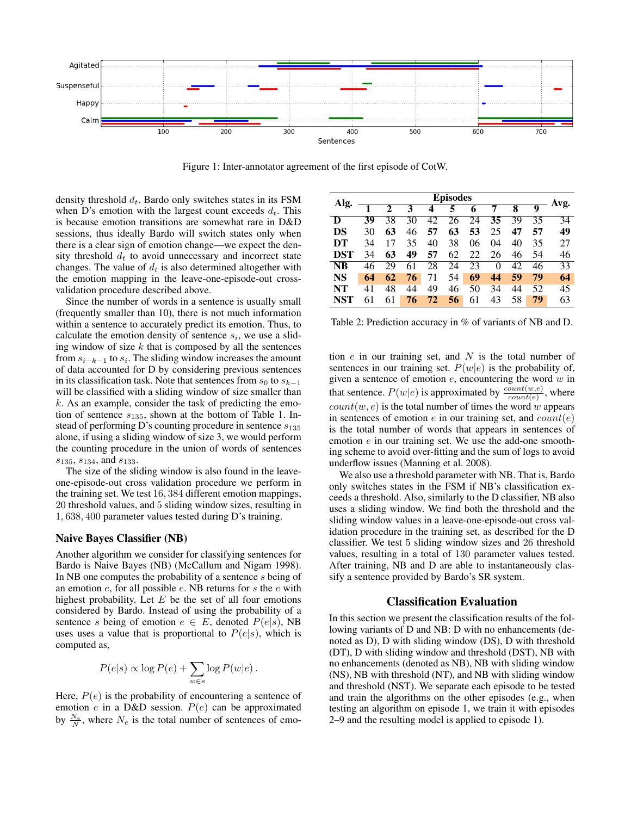

Figure 1: Inter-annotator agreement of the first episode of CotW.

density threshold  $d_t$ . Bardo only switches states in its FSM when D's emotion with the largest count exceeds  $d_t$ . This is because emotion transitions are somewhat rare in D&D sessions, thus ideally Bardo will switch states only when there is a clear sign of emotion change—we expect the density threshold  $d_t$  to avoid unnecessary and incorrect state changes. The value of  $d_t$  is also determined altogether with the emotion mapping in the leave-one-episode-out crossvalidation procedure described above.

Since the number of words in a sentence is usually small (frequently smaller than 10), there is not much information within a sentence to accurately predict its emotion. Thus, to calculate the emotion density of sentence  $s_i$ , we use a sliding window of size  $k$  that is composed by all the sentences from  $s_{i-k-1}$  to  $s_i$ . The sliding window increases the amount of data accounted for D by considering previous sentences in its classification task. Note that sentences from  $s_0$  to  $s_{k-1}$ will be classified with a sliding window of size smaller than  $k$ . As an example, consider the task of predicting the emotion of sentence  $s_{135}$ , shown at the bottom of Table 1. Instead of performing D's counting procedure in sentence  $s_{135}$ alone, if using a sliding window of size 3, we would perform the counting procedure in the union of words of sentences  $s_{135}, s_{134},$  and  $s_{133}$ .

The size of the sliding window is also found in the leaveone-episode-out cross validation procedure we perform in the training set. We test 16, 384 different emotion mappings, 20 threshold values, and 5 sliding window sizes, resulting in 1, 638, 400 parameter values tested during D's training.

#### Naive Bayes Classifier (NB)

Another algorithm we consider for classifying sentences for Bardo is Naive Bayes (NB) (McCallum and Nigam 1998). In NB one computes the probability of a sentence s being of an emotion  $e$ , for all possible  $e$ . NB returns for  $s$  the  $e$  with highest probability. Let  $E$  be the set of all four emotions considered by Bardo. Instead of using the probability of a sentence s being of emotion  $e \in E$ , denoted  $P(e|s)$ , NB uses uses a value that is proportional to  $P(e|s)$ , which is computed as,

$$
P(e|s) \propto \log P(e) + \sum_{w \in s} \log P(w|e).
$$

Here,  $P(e)$  is the probability of encountering a sentence of emotion  $e$  in a D&D session.  $P(e)$  can be approximated by  $\frac{N_e}{N}$ , where  $N_e$  is the total number of sentences of emo-

| Alg.       | <b>Episodes</b> |    |    |    |    |    |    |    |    |                 |
|------------|-----------------|----|----|----|----|----|----|----|----|-----------------|
|            |                 |    | 3  | 4  | 5  | 6  | 7  | 8  | 9  | Avg.            |
| D          | 39              | 38 | 30 | 42 | 26 | 24 | 35 | 39 | 35 | 34              |
| DS         | 30              | 63 | 46 | 57 | 63 | 53 | 25 | 47 | 57 | 49              |
| DT         | 34              | 17 | 35 | 40 | 38 | 06 | 04 | 40 | 35 | 27              |
| <b>DST</b> | 34              | 63 | 49 | 57 | 62 | 22 | 26 | 46 | 54 | 46              |
| <b>NB</b>  | 46              | 29 | 61 | 28 | 24 | 23 | 0  | 42 | 46 | $\overline{33}$ |
| NS         | 64              | 62 | 76 | 71 | 54 | 69 | 44 | 59 | 79 | 64              |
| NT         | 41              | 48 | 44 | 49 | 46 | 50 | 34 | 44 | 52 | 45              |
| <b>NST</b> | 61              | 61 | 76 | 72 | 56 | 61 | 43 | 58 | 79 | 63              |

Table 2: Prediction accuracy in % of variants of NB and D.

tion  $e$  in our training set, and  $N$  is the total number of sentences in our training set.  $P(w|e)$  is the probability of, given a sentence of emotion  $e$ , encountering the word  $w$  in that sentence.  $P(w|e)$  is approximated by  $\frac{count(w,e)}{count(e)}$ , where  $count(w, e)$  is the total number of times the word w appears in sentences of emotion  $e$  in our training set, and  $count(e)$ is the total number of words that appears in sentences of emotion  $e$  in our training set. We use the add-one smoothing scheme to avoid over-fitting and the sum of logs to avoid underflow issues (Manning et al. 2008).

We also use a threshold parameter with NB. That is, Bardo only switches states in the FSM if NB's classification exceeds a threshold. Also, similarly to the D classifier, NB also uses a sliding window. We find both the threshold and the sliding window values in a leave-one-episode-out cross validation procedure in the training set, as described for the D classifier. We test 5 sliding window sizes and 26 threshold values, resulting in a total of 130 parameter values tested. After training, NB and D are able to instantaneously classify a sentence provided by Bardo's SR system.

# Classification Evaluation

In this section we present the classification results of the following variants of D and NB: D with no enhancements (denoted as D), D with sliding window (DS), D with threshold (DT), D with sliding window and threshold (DST), NB with no enhancements (denoted as NB), NB with sliding window (NS), NB with threshold (NT), and NB with sliding window and threshold (NST). We separate each episode to be tested and train the algorithms on the other episodes (e.g., when testing an algorithm on episode 1, we train it with episodes 2–9 and the resulting model is applied to episode 1).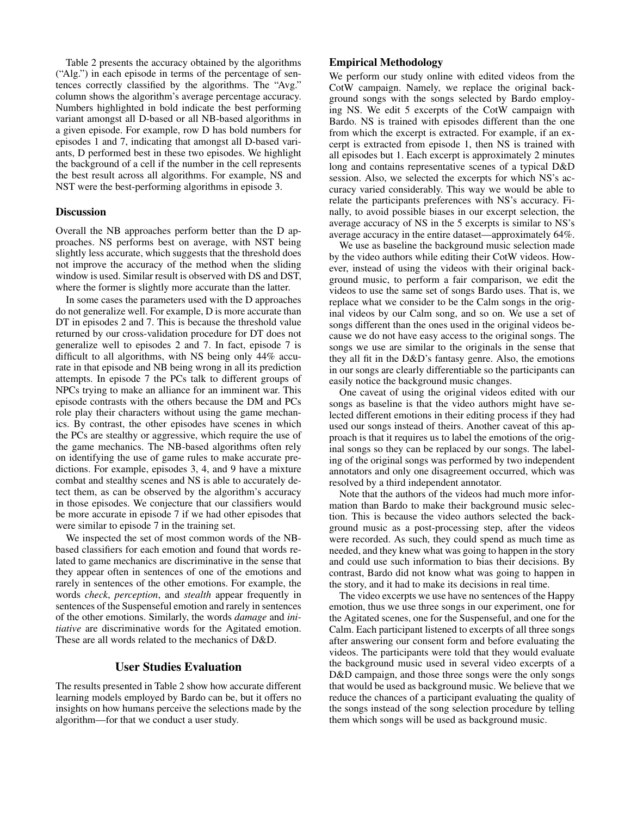Table 2 presents the accuracy obtained by the algorithms ("Alg.") in each episode in terms of the percentage of sentences correctly classified by the algorithms. The "Avg." column shows the algorithm's average percentage accuracy. Numbers highlighted in bold indicate the best performing variant amongst all D-based or all NB-based algorithms in a given episode. For example, row D has bold numbers for episodes 1 and 7, indicating that amongst all D-based variants, D performed best in these two episodes. We highlight the background of a cell if the number in the cell represents the best result across all algorithms. For example, NS and NST were the best-performing algorithms in episode 3.

### **Discussion**

Overall the NB approaches perform better than the D approaches. NS performs best on average, with NST being slightly less accurate, which suggests that the threshold does not improve the accuracy of the method when the sliding window is used. Similar result is observed with DS and DST, where the former is slightly more accurate than the latter.

In some cases the parameters used with the D approaches do not generalize well. For example, D is more accurate than DT in episodes 2 and 7. This is because the threshold value returned by our cross-validation procedure for DT does not generalize well to episodes 2 and 7. In fact, episode 7 is difficult to all algorithms, with NS being only 44% accurate in that episode and NB being wrong in all its prediction attempts. In episode 7 the PCs talk to different groups of NPCs trying to make an alliance for an imminent war. This episode contrasts with the others because the DM and PCs role play their characters without using the game mechanics. By contrast, the other episodes have scenes in which the PCs are stealthy or aggressive, which require the use of the game mechanics. The NB-based algorithms often rely on identifying the use of game rules to make accurate predictions. For example, episodes 3, 4, and 9 have a mixture combat and stealthy scenes and NS is able to accurately detect them, as can be observed by the algorithm's accuracy in those episodes. We conjecture that our classifiers would be more accurate in episode 7 if we had other episodes that were similar to episode 7 in the training set.

We inspected the set of most common words of the NBbased classifiers for each emotion and found that words related to game mechanics are discriminative in the sense that they appear often in sentences of one of the emotions and rarely in sentences of the other emotions. For example, the words *check*, *perception*, and *stealth* appear frequently in sentences of the Suspenseful emotion and rarely in sentences of the other emotions. Similarly, the words *damage* and *initiative* are discriminative words for the Agitated emotion. These are all words related to the mechanics of D&D.

# User Studies Evaluation

The results presented in Table 2 show how accurate different learning models employed by Bardo can be, but it offers no insights on how humans perceive the selections made by the algorithm—for that we conduct a user study.

### Empirical Methodology

We perform our study online with edited videos from the CotW campaign. Namely, we replace the original background songs with the songs selected by Bardo employing NS. We edit 5 excerpts of the CotW campaign with Bardo. NS is trained with episodes different than the one from which the excerpt is extracted. For example, if an excerpt is extracted from episode 1, then NS is trained with all episodes but 1. Each excerpt is approximately 2 minutes long and contains representative scenes of a typical D&D session. Also, we selected the excerpts for which NS's accuracy varied considerably. This way we would be able to relate the participants preferences with NS's accuracy. Finally, to avoid possible biases in our excerpt selection, the average accuracy of NS in the 5 excerpts is similar to NS's average accuracy in the entire dataset—approximately 64%.

We use as baseline the background music selection made by the video authors while editing their CotW videos. However, instead of using the videos with their original background music, to perform a fair comparison, we edit the videos to use the same set of songs Bardo uses. That is, we replace what we consider to be the Calm songs in the original videos by our Calm song, and so on. We use a set of songs different than the ones used in the original videos because we do not have easy access to the original songs. The songs we use are similar to the originals in the sense that they all fit in the D&D's fantasy genre. Also, the emotions in our songs are clearly differentiable so the participants can easily notice the background music changes.

One caveat of using the original videos edited with our songs as baseline is that the video authors might have selected different emotions in their editing process if they had used our songs instead of theirs. Another caveat of this approach is that it requires us to label the emotions of the original songs so they can be replaced by our songs. The labeling of the original songs was performed by two independent annotators and only one disagreement occurred, which was resolved by a third independent annotator.

Note that the authors of the videos had much more information than Bardo to make their background music selection. This is because the video authors selected the background music as a post-processing step, after the videos were recorded. As such, they could spend as much time as needed, and they knew what was going to happen in the story and could use such information to bias their decisions. By contrast, Bardo did not know what was going to happen in the story, and it had to make its decisions in real time.

The video excerpts we use have no sentences of the Happy emotion, thus we use three songs in our experiment, one for the Agitated scenes, one for the Suspenseful, and one for the Calm. Each participant listened to excerpts of all three songs after answering our consent form and before evaluating the videos. The participants were told that they would evaluate the background music used in several video excerpts of a D&D campaign, and those three songs were the only songs that would be used as background music. We believe that we reduce the chances of a participant evaluating the quality of the songs instead of the song selection procedure by telling them which songs will be used as background music.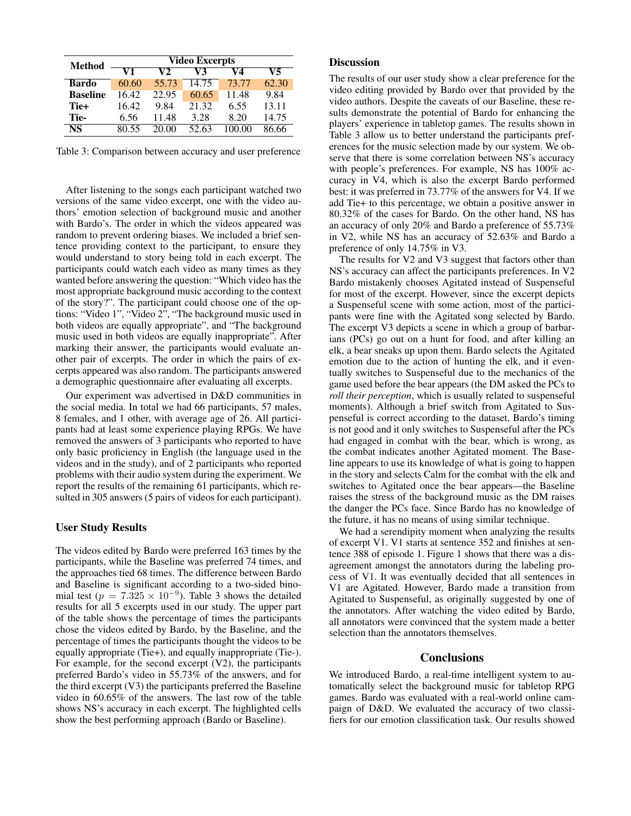| Method          | <b>Video Excerpts</b> |       |       |       |       |  |  |
|-----------------|-----------------------|-------|-------|-------|-------|--|--|
|                 | V1                    | V2    | V3    | V4    | V5    |  |  |
| Bardo           | 60.60                 | 55.73 | 14.75 | 73.77 | 62.30 |  |  |
| <b>Baseline</b> | 16.42                 | 22.95 | 60.65 | 11.48 | 9.84  |  |  |
| Tie+            | 16.42                 | 9.84  | 21.32 | 6.55  | 13.11 |  |  |
| Tie-            | 6.56                  | 11.48 | 3.28  | 8.20  | 14.75 |  |  |
| NS              | 80.55                 | 20.00 | 52.63 |       | 86.66 |  |  |

Table 3: Comparison between accuracy and user preference

After listening to the songs each participant watched two versions of the same video excerpt, one with the video authors' emotion selection of background music and another with Bardo's. The order in which the videos appeared was random to prevent ordering biases. We included a brief sentence providing context to the participant, to ensure they would understand to story being told in each excerpt. The participants could watch each video as many times as they wanted before answering the question: "Which video has the most appropriate background music according to the context of the story?". The participant could choose one of the options: "Video 1", "Video 2", "The background music used in both videos are equally appropriate", and "The background music used in both videos are equally inappropriate". After marking their answer, the participants would evaluate another pair of excerpts. The order in which the pairs of excerpts appeared was also random. The participants answered a demographic questionnaire after evaluating all excerpts.

Our experiment was advertised in D&D communities in the social media. In total we had 66 participants, 57 males, 8 females, and 1 other, with average age of 26. All participants had at least some experience playing RPGs. We have removed the answers of 3 participants who reported to have only basic proficiency in English (the language used in the videos and in the study), and of 2 participants who reported problems with their audio system during the experiment. We report the results of the remaining 61 participants, which resulted in 305 answers (5 pairs of videos for each participant).

### User Study Results

The videos edited by Bardo were preferred 163 times by the participants, while the Baseline was preferred 74 times, and the approaches tied 68 times. The difference between Bardo and Baseline is significant according to a two-sided binomial test ( $p = 7.325 \times 10^{-9}$ ). Table 3 shows the detailed results for all 5 excerpts used in our study. The upper part of the table shows the percentage of times the participants chose the videos edited by Bardo, by the Baseline, and the percentage of times the participants thought the videos to be equally appropriate (Tie+), and equally inappropriate (Tie-). For example, for the second excerpt (V2), the participants preferred Bardo's video in 55.73% of the answers, and for the third excerpt (V3) the participants preferred the Baseline video in 60.65% of the answers. The last row of the table shows NS's accuracy in each excerpt. The highlighted cells show the best performing approach (Bardo or Baseline).

# Discussion

The results of our user study show a clear preference for the video editing provided by Bardo over that provided by the video authors. Despite the caveats of our Baseline, these results demonstrate the potential of Bardo for enhancing the players' experience in tabletop games. The results shown in Table 3 allow us to better understand the participants preferences for the music selection made by our system. We observe that there is some correlation between NS's accuracy with people's preferences. For example, NS has 100% accuracy in V4, which is also the excerpt Bardo performed best: it was preferred in 73.77% of the answers for V4. If we add Tie+ to this percentage, we obtain a positive answer in 80.32% of the cases for Bardo. On the other hand, NS has an accuracy of only 20% and Bardo a preference of 55.73% in V2, while NS has an accuracy of 52.63% and Bardo a preference of only 14.75% in V3.

The results for V2 and V3 suggest that factors other than NS's accuracy can affect the participants preferences. In V2 Bardo mistakenly chooses Agitated instead of Suspenseful for most of the excerpt. However, since the excerpt depicts a Suspenseful scene with some action, most of the participants were fine with the Agitated song selected by Bardo. The excerpt V3 depicts a scene in which a group of barbarians (PCs) go out on a hunt for food, and after killing an elk, a bear sneaks up upon them. Bardo selects the Agitated emotion due to the action of hunting the elk, and it eventually switches to Suspenseful due to the mechanics of the game used before the bear appears (the DM asked the PCs to *roll their perception*, which is usually related to suspenseful moments). Although a brief switch from Agitated to Suspenseful is correct according to the dataset, Bardo's timing is not good and it only switches to Suspenseful after the PCs had engaged in combat with the bear, which is wrong, as the combat indicates another Agitated moment. The Baseline appears to use its knowledge of what is going to happen in the story and selects Calm for the combat with the elk and switches to Agitated once the bear appears—the Baseline raises the stress of the background music as the DM raises the danger the PCs face. Since Bardo has no knowledge of the future, it has no means of using similar technique.

We had a serendipity moment when analyzing the results of excerpt V1. V1 starts at sentence 352 and finishes at sentence 388 of episode 1. Figure 1 shows that there was a disagreement amongst the annotators during the labeling process of V1. It was eventually decided that all sentences in V1 are Agitated. However, Bardo made a transition from Agitated to Suspenseful, as originally suggested by one of the annotators. After watching the video edited by Bardo, all annotators were convinced that the system made a better selection than the annotators themselves.

### **Conclusions**

We introduced Bardo, a real-time intelligent system to automatically select the background music for tabletop RPG games. Bardo was evaluated with a real-world online campaign of D&D. We evaluated the accuracy of two classifiers for our emotion classification task. Our results showed